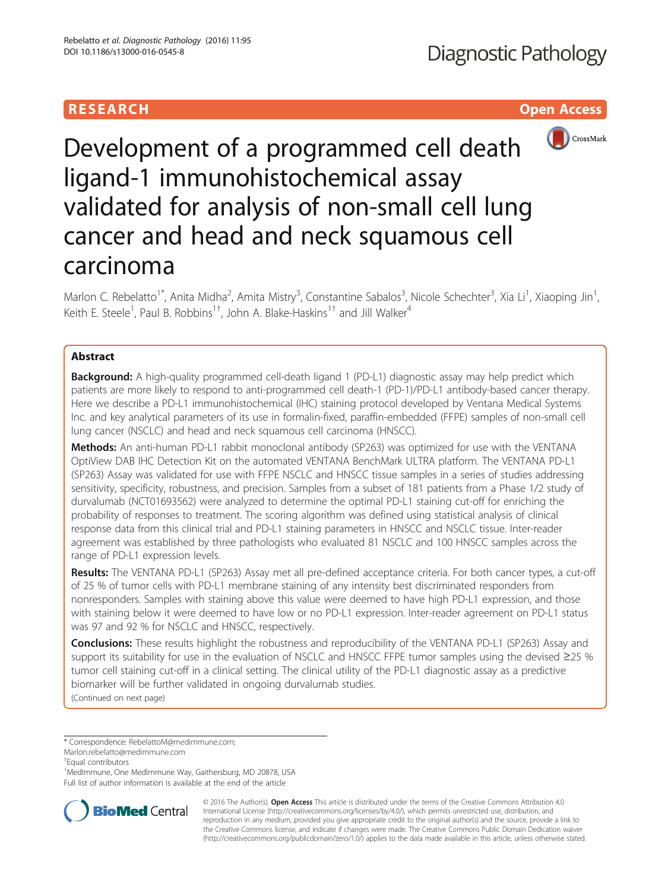# RESEARCH **RESEARCH CHOOSE ACCESS**



# Development of a programmed cell death ligand-1 immunohistochemical assay validated for analysis of non-small cell lung cancer and head and neck squamous cell carcinoma

Marlon C. Rebelatto<sup>1\*</sup>, Anita Midha<sup>2</sup>, Amita Mistry<sup>3</sup>, Constantine Sabalos<sup>3</sup>, Nicole Schechter<sup>3</sup>, Xia Li<sup>1</sup>, Xiaoping Jin<sup>1</sup> , Keith E. Steele<sup>1</sup>, Paul B. Robbins<sup>1†</sup>, John A. Blake-Haskins<sup>1†</sup> and Jill Walker<sup>4</sup>

# Abstract

**Background:** A high-quality programmed cell-death ligand 1 (PD-L1) diagnostic assay may help predict which patients are more likely to respond to anti-programmed cell death-1 (PD-1)/PD-L1 antibody-based cancer therapy. Here we describe a PD-L1 immunohistochemical (IHC) staining protocol developed by Ventana Medical Systems Inc. and key analytical parameters of its use in formalin-fixed, paraffin-embedded (FFPE) samples of non-small cell lung cancer (NSCLC) and head and neck squamous cell carcinoma (HNSCC).

Methods: An anti-human PD-L1 rabbit monoclonal antibody (SP263) was optimized for use with the VENTANA OptiView DAB IHC Detection Kit on the automated VENTANA BenchMark ULTRA platform. The VENTANA PD-L1 (SP263) Assay was validated for use with FFPE NSCLC and HNSCC tissue samples in a series of studies addressing sensitivity, specificity, robustness, and precision. Samples from a subset of 181 patients from a Phase 1/2 study of durvalumab (NCT01693562) were analyzed to determine the optimal PD-L1 staining cut-off for enriching the probability of responses to treatment. The scoring algorithm was defined using statistical analysis of clinical response data from this clinical trial and PD-L1 staining parameters in HNSCC and NSCLC tissue. Inter-reader agreement was established by three pathologists who evaluated 81 NSCLC and 100 HNSCC samples across the range of PD-L1 expression levels.

Results: The VENTANA PD-L1 (SP263) Assay met all pre-defined acceptance criteria. For both cancer types, a cut-off of 25 % of tumor cells with PD-L1 membrane staining of any intensity best discriminated responders from nonresponders. Samples with staining above this value were deemed to have high PD-L1 expression, and those with staining below it were deemed to have low or no PD-L1 expression. Inter-reader agreement on PD-L1 status was 97 and 92 % for NSCLC and HNSCC, respectively.

**Conclusions:** These results highlight the robustness and reproducibility of the VENTANA PD-L1 (SP263) Assay and support its suitability for use in the evaluation of NSCLC and HNSCC FFPE tumor samples using the devised ≥25 % tumor cell staining cut-off in a clinical setting. The clinical utility of the PD-L1 diagnostic assay as a predictive biomarker will be further validated in ongoing durvalumab studies. (Continued on next page)

\* Correspondence: [RebelattoM@medimmune.com;](mailto:RebelattoM@medimmune.com)

<sup>1</sup>MedImmune, One MedImmune Way, Gaithersburg, MD 20878, USA Full list of author information is available at the end of the article



© 2016 The Author(s). Open Access This article is distributed under the terms of the Creative Commons Attribution 4.0 International License [\(http://creativecommons.org/licenses/by/4.0/](http://creativecommons.org/licenses/by/4.0/)), which permits unrestricted use, distribution, and reproduction in any medium, provided you give appropriate credit to the original author(s) and the source, provide a link to the Creative Commons license, and indicate if changes were made. The Creative Commons Public Domain Dedication waiver [\(http://creativecommons.org/publicdomain/zero/1.0/](http://creativecommons.org/publicdomain/zero/1.0/)) applies to the data made available in this article, unless otherwise stated.

[Marlon.rebelatto@medimmune.com](mailto:Marlon.rebelatto@medimmune.com)

<sup>†</sup> Equal contributors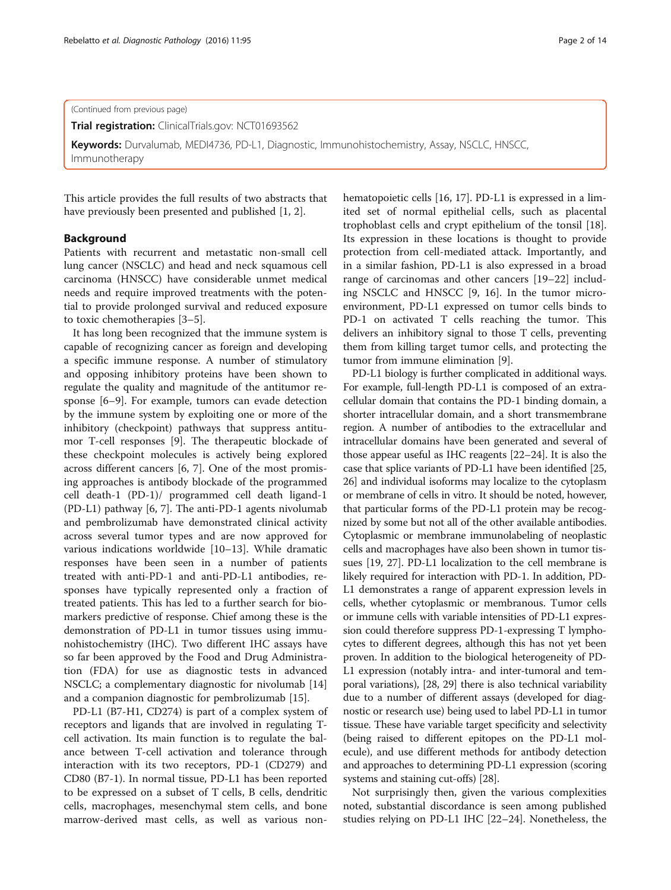#### (Continued from previous page)

**Trial registration:** ClinicalTrials.gov: [NCT01693562](https://clinicaltrials.gov/ct2/show/NCT01693562?term=NCT01693562&rank=1)

Keywords: Durvalumab, MEDI4736, PD-L1, Diagnostic, Immunohistochemistry, Assay, NSCLC, HNSCC, Immunotherapy

This article provides the full results of two abstracts that have previously been presented and published [\[1](#page-12-0), [2](#page-12-0)].

## Background

Patients with recurrent and metastatic non-small cell lung cancer (NSCLC) and head and neck squamous cell carcinoma (HNSCC) have considerable unmet medical needs and require improved treatments with the potential to provide prolonged survival and reduced exposure to toxic chemotherapies [\[3](#page-12-0)–[5](#page-12-0)].

It has long been recognized that the immune system is capable of recognizing cancer as foreign and developing a specific immune response. A number of stimulatory and opposing inhibitory proteins have been shown to regulate the quality and magnitude of the antitumor response [[6](#page-12-0)–[9](#page-12-0)]. For example, tumors can evade detection by the immune system by exploiting one or more of the inhibitory (checkpoint) pathways that suppress antitumor T-cell responses [[9](#page-12-0)]. The therapeutic blockade of these checkpoint molecules is actively being explored across different cancers [[6, 7](#page-12-0)]. One of the most promising approaches is antibody blockade of the programmed cell death-1 (PD-1)/ programmed cell death ligand-1 (PD-L1) pathway [[6, 7\]](#page-12-0). The anti-PD-1 agents nivolumab and pembrolizumab have demonstrated clinical activity across several tumor types and are now approved for various indications worldwide [[10](#page-12-0)–[13](#page-12-0)]. While dramatic responses have been seen in a number of patients treated with anti-PD-1 and anti-PD-L1 antibodies, responses have typically represented only a fraction of treated patients. This has led to a further search for biomarkers predictive of response. Chief among these is the demonstration of PD-L1 in tumor tissues using immunohistochemistry (IHC). Two different IHC assays have so far been approved by the Food and Drug Administration (FDA) for use as diagnostic tests in advanced NSCLC; a complementary diagnostic for nivolumab [[14](#page-12-0)] and a companion diagnostic for pembrolizumab [[15\]](#page-12-0).

PD-L1 (B7-H1, CD274) is part of a complex system of receptors and ligands that are involved in regulating Tcell activation. Its main function is to regulate the balance between T-cell activation and tolerance through interaction with its two receptors, PD-1 (CD279) and CD80 (B7-1). In normal tissue, PD-L1 has been reported to be expressed on a subset of T cells, B cells, dendritic cells, macrophages, mesenchymal stem cells, and bone marrow-derived mast cells, as well as various nonhematopoietic cells [\[16](#page-12-0), [17](#page-12-0)]. PD-L1 is expressed in a limited set of normal epithelial cells, such as placental trophoblast cells and crypt epithelium of the tonsil [\[18](#page-12-0)]. Its expression in these locations is thought to provide protection from cell-mediated attack. Importantly, and in a similar fashion, PD-L1 is also expressed in a broad range of carcinomas and other cancers [[19](#page-12-0)–[22](#page-12-0)] including NSCLC and HNSCC [[9, 16](#page-12-0)]. In the tumor microenvironment, PD-L1 expressed on tumor cells binds to PD-1 on activated T cells reaching the tumor. This delivers an inhibitory signal to those T cells, preventing them from killing target tumor cells, and protecting the tumor from immune elimination [\[9](#page-12-0)].

PD-L1 biology is further complicated in additional ways. For example, full-length PD-L1 is composed of an extracellular domain that contains the PD-1 binding domain, a shorter intracellular domain, and a short transmembrane region. A number of antibodies to the extracellular and intracellular domains have been generated and several of those appear useful as IHC reagents [\[22](#page-12-0)–[24](#page-12-0)]. It is also the case that splice variants of PD-L1 have been identified [[25](#page-12-0), [26](#page-12-0)] and individual isoforms may localize to the cytoplasm or membrane of cells in vitro. It should be noted, however, that particular forms of the PD-L1 protein may be recognized by some but not all of the other available antibodies. Cytoplasmic or membrane immunolabeling of neoplastic cells and macrophages have also been shown in tumor tissues [\[19, 27](#page-12-0)]. PD-L1 localization to the cell membrane is likely required for interaction with PD-1. In addition, PD-L1 demonstrates a range of apparent expression levels in cells, whether cytoplasmic or membranous. Tumor cells or immune cells with variable intensities of PD-L1 expression could therefore suppress PD-1-expressing T lymphocytes to different degrees, although this has not yet been proven. In addition to the biological heterogeneity of PD-L1 expression (notably intra- and inter-tumoral and temporal variations), [\[28](#page-12-0), [29\]](#page-12-0) there is also technical variability due to a number of different assays (developed for diagnostic or research use) being used to label PD-L1 in tumor tissue. These have variable target specificity and selectivity (being raised to different epitopes on the PD-L1 molecule), and use different methods for antibody detection and approaches to determining PD-L1 expression (scoring systems and staining cut-offs) [[28](#page-12-0)].

Not surprisingly then, given the various complexities noted, substantial discordance is seen among published studies relying on PD-L1 IHC [[22](#page-12-0)–[24](#page-12-0)]. Nonetheless, the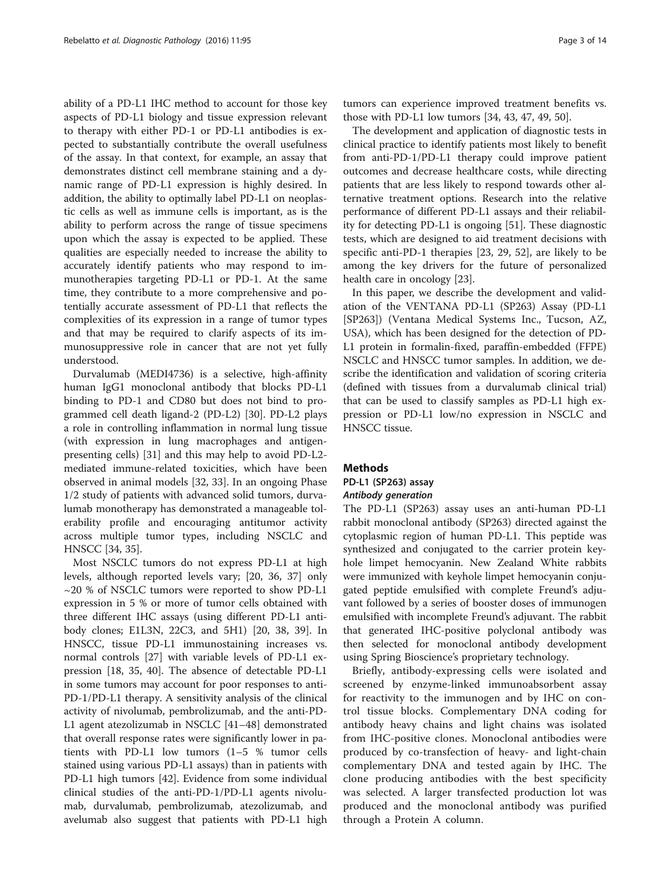ability of a PD-L1 IHC method to account for those key aspects of PD-L1 biology and tissue expression relevant to therapy with either PD-1 or PD-L1 antibodies is expected to substantially contribute the overall usefulness of the assay. In that context, for example, an assay that demonstrates distinct cell membrane staining and a dynamic range of PD-L1 expression is highly desired. In addition, the ability to optimally label PD-L1 on neoplastic cells as well as immune cells is important, as is the ability to perform across the range of tissue specimens upon which the assay is expected to be applied. These qualities are especially needed to increase the ability to accurately identify patients who may respond to immunotherapies targeting PD-L1 or PD-1. At the same time, they contribute to a more comprehensive and potentially accurate assessment of PD-L1 that reflects the complexities of its expression in a range of tumor types and that may be required to clarify aspects of its immunosuppressive role in cancer that are not yet fully understood.

Durvalumab (MEDI4736) is a selective, high-affinity human IgG1 monoclonal antibody that blocks PD-L1 binding to PD-1 and CD80 but does not bind to programmed cell death ligand-2 (PD-L2) [[30](#page-12-0)]. PD-L2 plays a role in controlling inflammation in normal lung tissue (with expression in lung macrophages and antigenpresenting cells) [\[31\]](#page-13-0) and this may help to avoid PD-L2 mediated immune-related toxicities, which have been observed in animal models [\[32](#page-13-0), [33](#page-13-0)]. In an ongoing Phase 1/2 study of patients with advanced solid tumors, durvalumab monotherapy has demonstrated a manageable tolerability profile and encouraging antitumor activity across multiple tumor types, including NSCLC and HNSCC [\[34](#page-13-0), [35\]](#page-13-0).

Most NSCLC tumors do not express PD-L1 at high levels, although reported levels vary; [\[20](#page-12-0), [36](#page-13-0), [37\]](#page-13-0) only  $\sim$ 20 % of NSCLC tumors were reported to show PD-L1 expression in 5 % or more of tumor cells obtained with three different IHC assays (using different PD-L1 antibody clones; E1L3N, 22C3, and 5H1) [[20](#page-12-0), [38](#page-13-0), [39](#page-13-0)]. In HNSCC, tissue PD-L1 immunostaining increases vs. normal controls [\[27](#page-12-0)] with variable levels of PD-L1 expression [\[18,](#page-12-0) [35, 40](#page-13-0)]. The absence of detectable PD-L1 in some tumors may account for poor responses to anti-PD-1/PD-L1 therapy. A sensitivity analysis of the clinical activity of nivolumab, pembrolizumab, and the anti-PD-L1 agent atezolizumab in NSCLC [\[41](#page-13-0)–[48\]](#page-13-0) demonstrated that overall response rates were significantly lower in patients with PD-L1 low tumors (1–5 % tumor cells stained using various PD-L1 assays) than in patients with PD-L1 high tumors [[42\]](#page-13-0). Evidence from some individual clinical studies of the anti-PD-1/PD-L1 agents nivolumab, durvalumab, pembrolizumab, atezolizumab, and avelumab also suggest that patients with PD-L1 high tumors can experience improved treatment benefits vs. those with PD-L1 low tumors [[34, 43](#page-13-0), [47](#page-13-0), [49](#page-13-0), [50](#page-13-0)].

The development and application of diagnostic tests in clinical practice to identify patients most likely to benefit from anti-PD-1/PD-L1 therapy could improve patient outcomes and decrease healthcare costs, while directing patients that are less likely to respond towards other alternative treatment options. Research into the relative performance of different PD-L1 assays and their reliability for detecting PD-L1 is ongoing [[51](#page-13-0)]. These diagnostic tests, which are designed to aid treatment decisions with specific anti-PD-1 therapies [\[23, 29,](#page-12-0) [52](#page-13-0)], are likely to be among the key drivers for the future of personalized health care in oncology [\[23](#page-12-0)].

In this paper, we describe the development and validation of the VENTANA PD-L1 (SP263) Assay (PD-L1 [SP263]) (Ventana Medical Systems Inc., Tucson, AZ, USA), which has been designed for the detection of PD-L1 protein in formalin-fixed, paraffin-embedded (FFPE) NSCLC and HNSCC tumor samples. In addition, we describe the identification and validation of scoring criteria (defined with tissues from a durvalumab clinical trial) that can be used to classify samples as PD-L1 high expression or PD-L1 low/no expression in NSCLC and HNSCC tissue.

#### Methods

# PD-L1 (SP263) assay

# Antibody generation

The PD-L1 (SP263) assay uses an anti-human PD-L1 rabbit monoclonal antibody (SP263) directed against the cytoplasmic region of human PD-L1. This peptide was synthesized and conjugated to the carrier protein keyhole limpet hemocyanin. New Zealand White rabbits were immunized with keyhole limpet hemocyanin conjugated peptide emulsified with complete Freund's adjuvant followed by a series of booster doses of immunogen emulsified with incomplete Freund's adjuvant. The rabbit that generated IHC-positive polyclonal antibody was then selected for monoclonal antibody development using Spring Bioscience's proprietary technology.

Briefly, antibody-expressing cells were isolated and screened by enzyme-linked immunoabsorbent assay for reactivity to the immunogen and by IHC on control tissue blocks. Complementary DNA coding for antibody heavy chains and light chains was isolated from IHC-positive clones. Monoclonal antibodies were produced by co-transfection of heavy- and light-chain complementary DNA and tested again by IHC. The clone producing antibodies with the best specificity was selected. A larger transfected production lot was produced and the monoclonal antibody was purified through a Protein A column.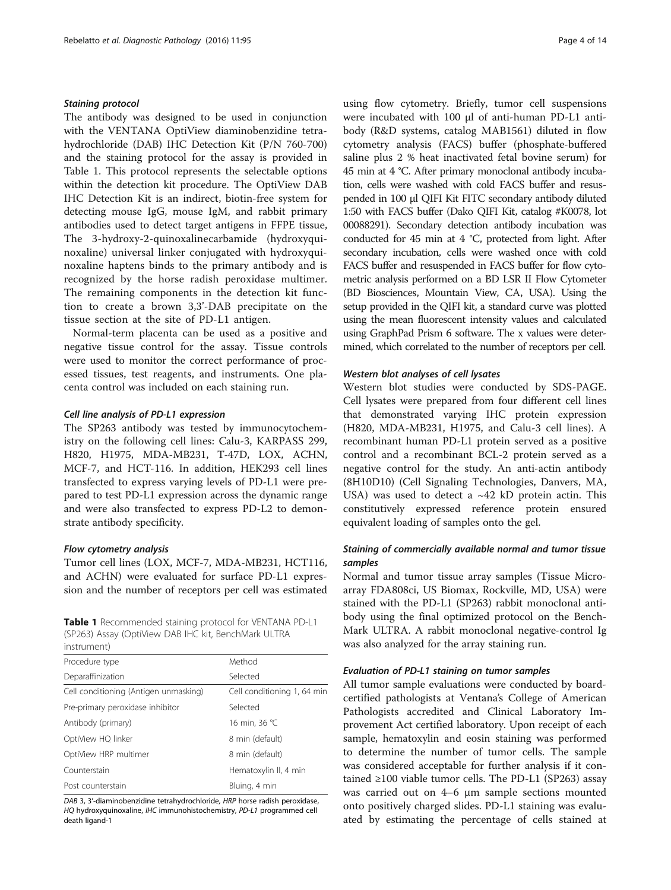## Staining protocol

The antibody was designed to be used in conjunction with the VENTANA OptiView diaminobenzidine tetrahydrochloride (DAB) IHC Detection Kit (P/N 760-700) and the staining protocol for the assay is provided in Table 1. This protocol represents the selectable options within the detection kit procedure. The OptiView DAB IHC Detection Kit is an indirect, biotin-free system for detecting mouse IgG, mouse IgM, and rabbit primary antibodies used to detect target antigens in FFPE tissue, The 3-hydroxy-2-quinoxalinecarbamide (hydroxyquinoxaline) universal linker conjugated with hydroxyquinoxaline haptens binds to the primary antibody and is recognized by the horse radish peroxidase multimer. The remaining components in the detection kit function to create a brown 3,3'-DAB precipitate on the tissue section at the site of PD-L1 antigen.

Normal-term placenta can be used as a positive and negative tissue control for the assay. Tissue controls were used to monitor the correct performance of processed tissues, test reagents, and instruments. One placenta control was included on each staining run.

#### Cell line analysis of PD-L1 expression

The SP263 antibody was tested by immunocytochemistry on the following cell lines: Calu-3, KARPASS 299, H820, H1975, MDA-MB231, T-47D, LOX, ACHN, MCF-7, and HCT-116. In addition, HEK293 cell lines transfected to express varying levels of PD-L1 were prepared to test PD-L1 expression across the dynamic range and were also transfected to express PD-L2 to demonstrate antibody specificity.

#### Flow cytometry analysis

Tumor cell lines (LOX, MCF-7, MDA-MB231, HCT116, and ACHN) were evaluated for surface PD-L1 expression and the number of receptors per cell was estimated

Table 1 Recommended staining protocol for VENTANA PD-L1 (SP263) Assay (OptiView DAB IHC kit, BenchMark ULTRA

| instrument) |
|-------------|
|-------------|

| Procedure type                        | Method                      |
|---------------------------------------|-----------------------------|
| Deparaffinization                     | Selected                    |
| Cell conditioning (Antigen unmasking) | Cell conditioning 1, 64 min |
| Pre-primary peroxidase inhibitor      | Selected                    |
| Antibody (primary)                    | 16 min, 36 °C               |
| OptiView HQ linker                    | 8 min (default)             |
| OptiView HRP multimer                 | 8 min (default)             |
| Counterstain                          | Hematoxylin II, 4 min       |
| Post counterstain                     | Bluing, 4 min               |

DAB 3, 3'-diaminobenzidine tetrahydrochloride, HRP horse radish peroxidase, HQ hydroxyquinoxaline, IHC immunohistochemistry, PD-L1 programmed cell death ligand-1

using flow cytometry. Briefly, tumor cell suspensions were incubated with 100 μl of anti-human PD-L1 antibody (R&D systems, catalog MAB1561) diluted in flow cytometry analysis (FACS) buffer (phosphate-buffered saline plus 2 % heat inactivated fetal bovine serum) for 45 min at 4 °C. After primary monoclonal antibody incubation, cells were washed with cold FACS buffer and resuspended in 100 μl QIFI Kit FITC secondary antibody diluted 1:50 with FACS buffer (Dako QIFI Kit, catalog #K0078, lot 00088291). Secondary detection antibody incubation was conducted for 45 min at 4 °C, protected from light. After secondary incubation, cells were washed once with cold FACS buffer and resuspended in FACS buffer for flow cytometric analysis performed on a BD LSR II Flow Cytometer (BD Biosciences, Mountain View, CA, USA). Using the setup provided in the QIFI kit, a standard curve was plotted using the mean fluorescent intensity values and calculated using GraphPad Prism 6 software. The x values were determined, which correlated to the number of receptors per cell.

## Western blot analyses of cell lysates

Western blot studies were conducted by SDS-PAGE. Cell lysates were prepared from four different cell lines that demonstrated varying IHC protein expression (H820, MDA-MB231, H1975, and Calu-3 cell lines). A recombinant human PD-L1 protein served as a positive control and a recombinant BCL-2 protein served as a negative control for the study. An anti-actin antibody (8H10D10) (Cell Signaling Technologies, Danvers, MA, USA) was used to detect a  $~12$  kD protein actin. This constitutively expressed reference protein ensured equivalent loading of samples onto the gel.

## Staining of commercially available normal and tumor tissue samples

Normal and tumor tissue array samples (Tissue Microarray FDA808ci, US Biomax, Rockville, MD, USA) were stained with the PD-L1 (SP263) rabbit monoclonal antibody using the final optimized protocol on the Bench-Mark ULTRA. A rabbit monoclonal negative-control Ig was also analyzed for the array staining run.

#### Evaluation of PD-L1 staining on tumor samples

All tumor sample evaluations were conducted by boardcertified pathologists at Ventana's College of American Pathologists accredited and Clinical Laboratory Improvement Act certified laboratory. Upon receipt of each sample, hematoxylin and eosin staining was performed to determine the number of tumor cells. The sample was considered acceptable for further analysis if it contained ≥100 viable tumor cells. The PD-L1 (SP263) assay was carried out on 4–6 μm sample sections mounted onto positively charged slides. PD-L1 staining was evaluated by estimating the percentage of cells stained at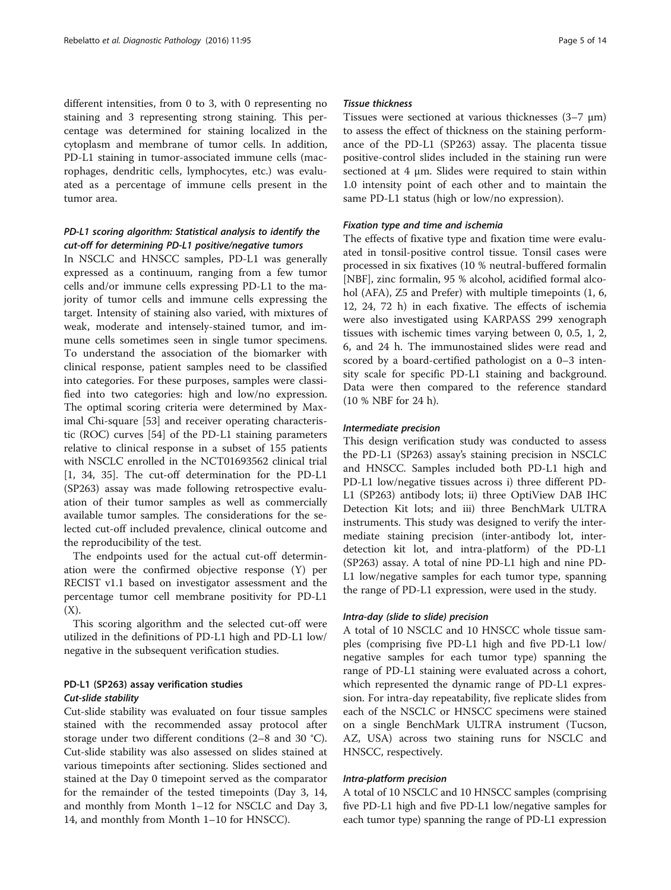different intensities, from 0 to 3, with 0 representing no staining and 3 representing strong staining. This percentage was determined for staining localized in the cytoplasm and membrane of tumor cells. In addition, PD-L1 staining in tumor-associated immune cells (macrophages, dendritic cells, lymphocytes, etc.) was evaluated as a percentage of immune cells present in the tumor area.

## PD-L1 scoring algorithm: Statistical analysis to identify the cut-off for determining PD-L1 positive/negative tumors

In NSCLC and HNSCC samples, PD-L1 was generally expressed as a continuum, ranging from a few tumor cells and/or immune cells expressing PD-L1 to the majority of tumor cells and immune cells expressing the target. Intensity of staining also varied, with mixtures of weak, moderate and intensely-stained tumor, and immune cells sometimes seen in single tumor specimens. To understand the association of the biomarker with clinical response, patient samples need to be classified into categories. For these purposes, samples were classified into two categories: high and low/no expression. The optimal scoring criteria were determined by Maximal Chi-square [[53](#page-13-0)] and receiver operating characteristic (ROC) curves [\[54](#page-13-0)] of the PD-L1 staining parameters relative to clinical response in a subset of 155 patients with NSCLC enrolled in the NCT01693562 clinical trial [[1,](#page-12-0) [34](#page-13-0), [35\]](#page-13-0). The cut-off determination for the PD-L1 (SP263) assay was made following retrospective evaluation of their tumor samples as well as commercially available tumor samples. The considerations for the selected cut-off included prevalence, clinical outcome and the reproducibility of the test.

The endpoints used for the actual cut-off determination were the confirmed objective response (Y) per RECIST v1.1 based on investigator assessment and the percentage tumor cell membrane positivity for PD-L1  $(X)$ .

This scoring algorithm and the selected cut-off were utilized in the definitions of PD-L1 high and PD-L1 low/ negative in the subsequent verification studies.

## PD-L1 (SP263) assay verification studies Cut-slide stability

Cut-slide stability was evaluated on four tissue samples stained with the recommended assay protocol after storage under two different conditions (2–8 and 30 °C). Cut-slide stability was also assessed on slides stained at various timepoints after sectioning. Slides sectioned and stained at the Day 0 timepoint served as the comparator for the remainder of the tested timepoints (Day 3, 14, and monthly from Month 1–12 for NSCLC and Day 3, 14, and monthly from Month 1–10 for HNSCC).

## Tissue thickness

Tissues were sectioned at various thicknesses  $(3-7 \mu m)$ to assess the effect of thickness on the staining performance of the PD-L1 (SP263) assay. The placenta tissue positive-control slides included in the staining run were sectioned at  $4 \mu m$ . Slides were required to stain within 1.0 intensity point of each other and to maintain the same PD-L1 status (high or low/no expression).

## Fixation type and time and ischemia

The effects of fixative type and fixation time were evaluated in tonsil-positive control tissue. Tonsil cases were processed in six fixatives (10 % neutral-buffered formalin [NBF], zinc formalin, 95 % alcohol, acidified formal alcohol (AFA), Z5 and Prefer) with multiple timepoints (1, 6, 12, 24, 72 h) in each fixative. The effects of ischemia were also investigated using KARPASS 299 xenograph tissues with ischemic times varying between 0, 0.5, 1, 2, 6, and 24 h. The immunostained slides were read and scored by a board-certified pathologist on a 0–3 intensity scale for specific PD-L1 staining and background. Data were then compared to the reference standard (10 % NBF for 24 h).

#### Intermediate precision

This design verification study was conducted to assess the PD-L1 (SP263) assay's staining precision in NSCLC and HNSCC. Samples included both PD-L1 high and PD-L1 low/negative tissues across i) three different PD-L1 (SP263) antibody lots; ii) three OptiView DAB IHC Detection Kit lots; and iii) three BenchMark ULTRA instruments. This study was designed to verify the intermediate staining precision (inter-antibody lot, interdetection kit lot, and intra-platform) of the PD-L1 (SP263) assay. A total of nine PD-L1 high and nine PD-L1 low/negative samples for each tumor type, spanning the range of PD-L1 expression, were used in the study.

#### Intra-day (slide to slide) precision

A total of 10 NSCLC and 10 HNSCC whole tissue samples (comprising five PD-L1 high and five PD-L1 low/ negative samples for each tumor type) spanning the range of PD-L1 staining were evaluated across a cohort, which represented the dynamic range of PD-L1 expression. For intra-day repeatability, five replicate slides from each of the NSCLC or HNSCC specimens were stained on a single BenchMark ULTRA instrument (Tucson, AZ, USA) across two staining runs for NSCLC and HNSCC, respectively.

## Intra-platform precision

A total of 10 NSCLC and 10 HNSCC samples (comprising five PD-L1 high and five PD-L1 low/negative samples for each tumor type) spanning the range of PD-L1 expression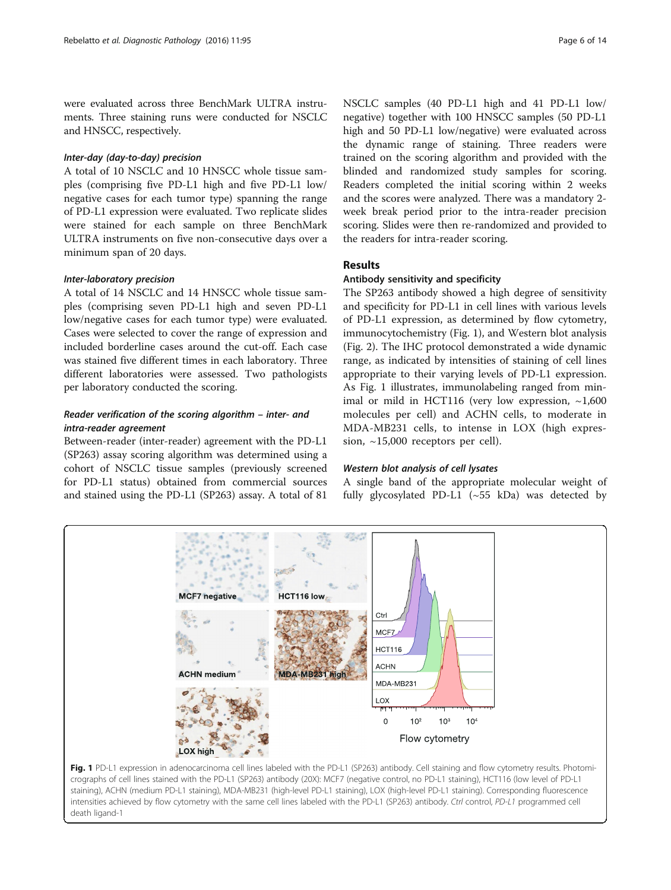<span id="page-5-0"></span>were evaluated across three BenchMark ULTRA instruments. Three staining runs were conducted for NSCLC and HNSCC, respectively.

## Inter-day (day-to-day) precision

A total of 10 NSCLC and 10 HNSCC whole tissue samples (comprising five PD-L1 high and five PD-L1 low/ negative cases for each tumor type) spanning the range of PD-L1 expression were evaluated. Two replicate slides were stained for each sample on three BenchMark ULTRA instruments on five non-consecutive days over a minimum span of 20 days.

## Inter-laboratory precision

A total of 14 NSCLC and 14 HNSCC whole tissue samples (comprising seven PD-L1 high and seven PD-L1 low/negative cases for each tumor type) were evaluated. Cases were selected to cover the range of expression and included borderline cases around the cut-off. Each case was stained five different times in each laboratory. Three different laboratories were assessed. Two pathologists per laboratory conducted the scoring.

## Reader verification of the scoring algorithm – inter- and intra-reader agreement

Between-reader (inter-reader) agreement with the PD-L1 (SP263) assay scoring algorithm was determined using a cohort of NSCLC tissue samples (previously screened for PD-L1 status) obtained from commercial sources and stained using the PD-L1 (SP263) assay. A total of 81 NSCLC samples (40 PD-L1 high and 41 PD-L1 low/ negative) together with 100 HNSCC samples (50 PD-L1 high and 50 PD-L1 low/negative) were evaluated across the dynamic range of staining. Three readers were trained on the scoring algorithm and provided with the blinded and randomized study samples for scoring. Readers completed the initial scoring within 2 weeks and the scores were analyzed. There was a mandatory 2 week break period prior to the intra-reader precision scoring. Slides were then re-randomized and provided to the readers for intra-reader scoring.

## Results

## Antibody sensitivity and specificity

The SP263 antibody showed a high degree of sensitivity and specificity for PD-L1 in cell lines with various levels of PD-L1 expression, as determined by flow cytometry, immunocytochemistry (Fig. 1), and Western blot analysis (Fig. [2](#page-6-0)). The IHC protocol demonstrated a wide dynamic range, as indicated by intensities of staining of cell lines appropriate to their varying levels of PD-L1 expression. As Fig. 1 illustrates, immunolabeling ranged from minimal or mild in HCT116 (very low expression,  $\sim$ 1,600 molecules per cell) and ACHN cells, to moderate in MDA-MB231 cells, to intense in LOX (high expression, ~15,000 receptors per cell).

## Western blot analysis of cell lysates

A single band of the appropriate molecular weight of fully glycosylated PD-L1  $(\sim 55$  kDa) was detected by



crographs of cell lines stained with the PD-L1 (SP263) antibody (20X): MCF7 (negative control, no PD-L1 staining), HCT116 (low level of PD-L1 staining), ACHN (medium PD-L1 staining), MDA-MB231 (high-level PD-L1 staining), LOX (high-level PD-L1 staining). Corresponding fluorescence intensities achieved by flow cytometry with the same cell lines labeled with the PD-L1 (SP263) antibody. Ctrl control, PD-L1 programmed cell death ligand-1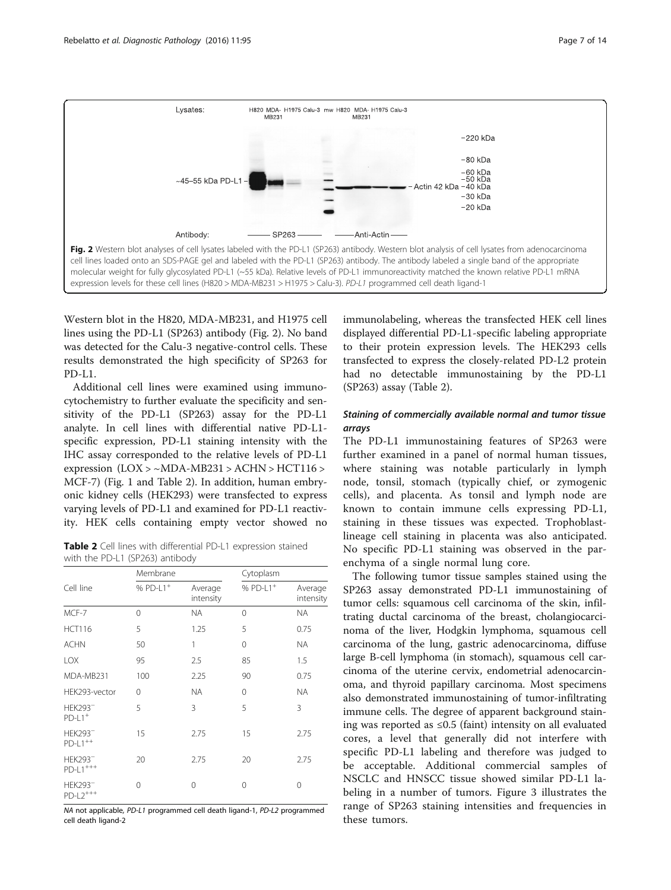<span id="page-6-0"></span>

Western blot in the H820, MDA-MB231, and H1975 cell lines using the PD-L1 (SP263) antibody (Fig. 2). No band was detected for the Calu-3 negative-control cells. These results demonstrated the high specificity of SP263 for PD-L1.

Additional cell lines were examined using immunocytochemistry to further evaluate the specificity and sensitivity of the PD-L1 (SP263) assay for the PD-L1 analyte. In cell lines with differential native PD-L1 specific expression, PD-L1 staining intensity with the IHC assay corresponded to the relative levels of PD-L1 expression  $(LOX > \sim MDA-MB231 > ACHN > HCT116 >$ MCF-7) (Fig. [1](#page-5-0) and Table 2). In addition, human embryonic kidney cells (HEK293) were transfected to express varying levels of PD-L1 and examined for PD-L1 reactivity. HEK cells containing empty vector showed no

Table 2 Cell lines with differential PD-L1 expression stained with the PD-L1 (SP263) antibody

|                                             | Membrane             |                      | Cytoplasm            |                      |
|---------------------------------------------|----------------------|----------------------|----------------------|----------------------|
| Cell line                                   | % PD-L1 <sup>+</sup> | Average<br>intensity | % PD-L1 <sup>+</sup> | Average<br>intensity |
| MCF-7                                       | $\Omega$             | NA.                  | $\Omega$             | <b>NA</b>            |
| <b>HCT116</b>                               | 5                    | 1.25                 | 5                    | 0.75                 |
| <b>ACHN</b>                                 | 50                   | 1                    | $\Omega$             | NA.                  |
| <b>LOX</b>                                  | 95                   | 2.5                  | 85                   | 1.5                  |
| MDA-MB231                                   | 100                  | 2.25                 | 90                   | 0.75                 |
| HEK293-vector                               | $\Omega$             | NA.                  | $\Omega$             | ΝA                   |
| HEK293 <sup>-</sup><br>$PD-L1$ <sup>+</sup> | 5                    | 3                    | 5                    | 3                    |
| HEK293 <sup>-</sup><br>$PD-L1^{++}$         | 15                   | 2.75                 | 15                   | 2.75                 |
| HEK293 <sup>-</sup><br>$PD-L1^{+++}$        | 20                   | 2.75                 | 20                   | 2.75                 |
| HEK293 <sup>-</sup><br>$PD-L2^{+++}$        | 0                    | $\Omega$             | $\Omega$             | 0                    |

NA not applicable, PD-L1 programmed cell death ligand-1, PD-L2 programmed cell death ligand-2

immunolabeling, whereas the transfected HEK cell lines displayed differential PD-L1-specific labeling appropriate to their protein expression levels. The HEK293 cells transfected to express the closely-related PD-L2 protein had no detectable immunostaining by the PD-L1 (SP263) assay (Table 2).

## Staining of commercially available normal and tumor tissue arrays

The PD-L1 immunostaining features of SP263 were further examined in a panel of normal human tissues, where staining was notable particularly in lymph node, tonsil, stomach (typically chief, or zymogenic cells), and placenta. As tonsil and lymph node are known to contain immune cells expressing PD-L1, staining in these tissues was expected. Trophoblastlineage cell staining in placenta was also anticipated. No specific PD-L1 staining was observed in the parenchyma of a single normal lung core.

The following tumor tissue samples stained using the SP263 assay demonstrated PD-L1 immunostaining of tumor cells: squamous cell carcinoma of the skin, infiltrating ductal carcinoma of the breast, cholangiocarcinoma of the liver, Hodgkin lymphoma, squamous cell carcinoma of the lung, gastric adenocarcinoma, diffuse large B-cell lymphoma (in stomach), squamous cell carcinoma of the uterine cervix, endometrial adenocarcinoma, and thyroid papillary carcinoma. Most specimens also demonstrated immunostaining of tumor-infiltrating immune cells. The degree of apparent background staining was reported as ≤0.5 (faint) intensity on all evaluated cores, a level that generally did not interfere with specific PD-L1 labeling and therefore was judged to be acceptable. Additional commercial samples of NSCLC and HNSCC tissue showed similar PD-L1 labeling in a number of tumors. Figure [3](#page-7-0) illustrates the range of SP263 staining intensities and frequencies in these tumors.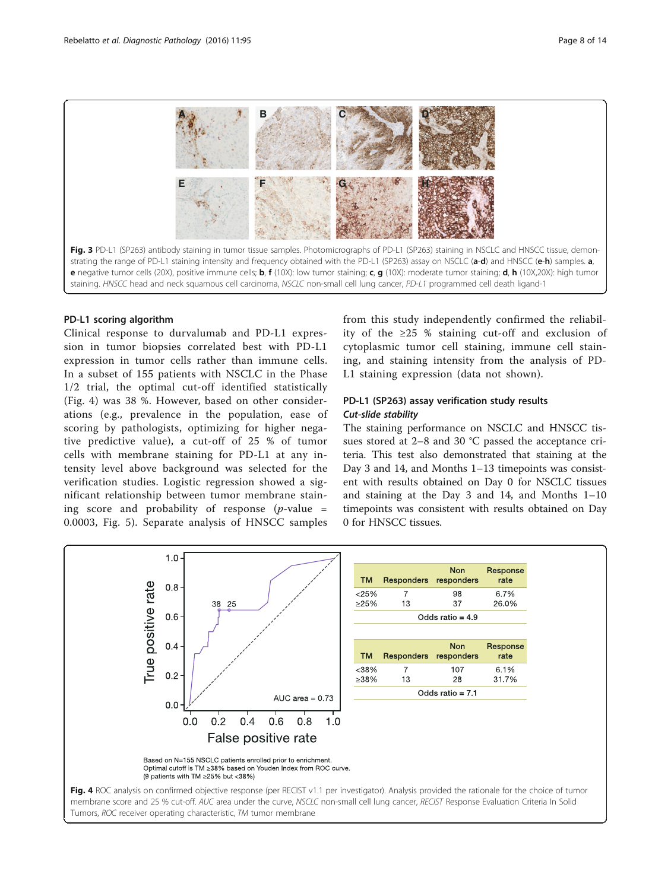<span id="page-7-0"></span>

## PD-L1 scoring algorithm

Clinical response to durvalumab and PD-L1 expression in tumor biopsies correlated best with PD-L1 expression in tumor cells rather than immune cells. In a subset of 155 patients with NSCLC in the Phase 1/2 trial, the optimal cut-off identified statistically (Fig. 4) was 38 %. However, based on other considerations (e.g., prevalence in the population, ease of scoring by pathologists, optimizing for higher negative predictive value), a cut-off of 25 % of tumor cells with membrane staining for PD-L1 at any intensity level above background was selected for the verification studies. Logistic regression showed a significant relationship between tumor membrane staining score and probability of response  $(p$ -value = 0.0003, Fig. [5\)](#page-8-0). Separate analysis of HNSCC samples

from this study independently confirmed the reliability of the ≥25 % staining cut-off and exclusion of cytoplasmic tumor cell staining, immune cell staining, and staining intensity from the analysis of PD-L1 staining expression (data not shown).

## PD-L1 (SP263) assay verification study results Cut-slide stability

The staining performance on NSCLC and HNSCC tissues stored at 2–8 and 30 °C passed the acceptance criteria. This test also demonstrated that staining at the Day 3 and 14, and Months 1–13 timepoints was consistent with results obtained on Day 0 for NSCLC tissues and staining at the Day 3 and 14, and Months 1–10 timepoints was consistent with results obtained on Day 0 for HNSCC tissues.

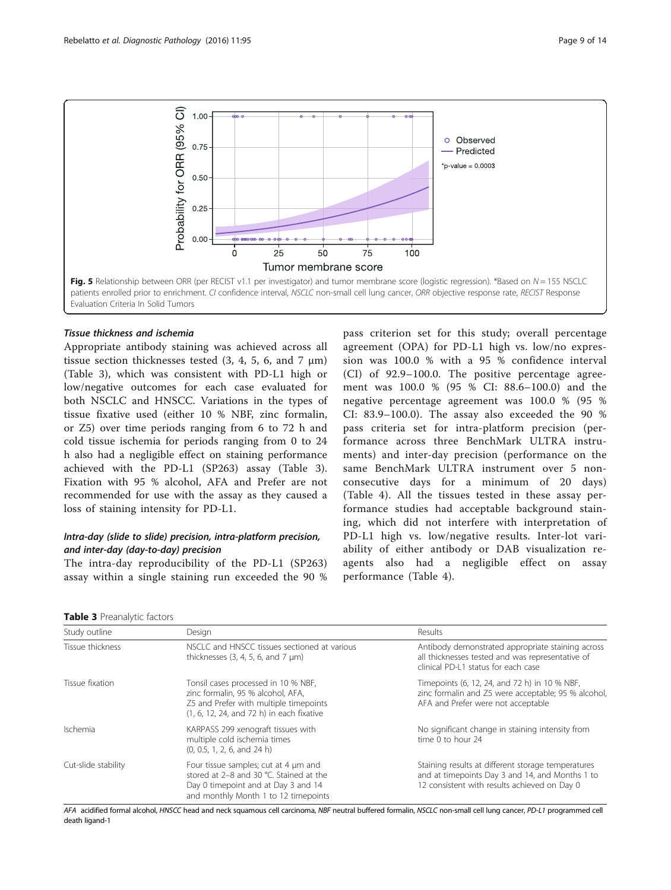<span id="page-8-0"></span>

## Tissue thickness and ischemia

Appropriate antibody staining was achieved across all tissue section thicknesses tested  $(3, 4, 5, 6, \text{ and } 7 \text{ }\mu\text{m})$ (Table 3), which was consistent with PD-L1 high or low/negative outcomes for each case evaluated for both NSCLC and HNSCC. Variations in the types of tissue fixative used (either 10 % NBF, zinc formalin, or Z5) over time periods ranging from 6 to 72 h and cold tissue ischemia for periods ranging from 0 to 24 h also had a negligible effect on staining performance achieved with the PD-L1 (SP263) assay (Table 3). Fixation with 95 % alcohol, AFA and Prefer are not recommended for use with the assay as they caused a loss of staining intensity for PD-L1.

## Intra-day (slide to slide) precision, intra-platform precision, and inter-day (day-to-day) precision

The intra-day reproducibility of the PD-L1 (SP263) assay within a single staining run exceeded the 90 % pass criterion set for this study; overall percentage agreement (OPA) for PD-L1 high vs. low/no expression was 100.0 % with a 95 % confidence interval (CI) of 92.9–100.0. The positive percentage agreement was 100.0 % (95 % CI: 88.6–100.0) and the negative percentage agreement was 100.0 % (95 % CI: 83.9–100.0). The assay also exceeded the 90 % pass criteria set for intra-platform precision (performance across three BenchMark ULTRA instruments) and inter-day precision (performance on the same BenchMark ULTRA instrument over 5 nonconsecutive days for a minimum of 20 days) (Table [4\)](#page-9-0). All the tissues tested in these assay performance studies had acceptable background staining, which did not interfere with interpretation of PD-L1 high vs. low/negative results. Inter-lot variability of either antibody or DAB visualization reagents also had a negligible effect on assay performance (Table [4\)](#page-9-0).

Table 3 Preanalytic factors

| Study outline       | Design                                                                                                                                                           | Results                                                                                                                                               |
|---------------------|------------------------------------------------------------------------------------------------------------------------------------------------------------------|-------------------------------------------------------------------------------------------------------------------------------------------------------|
| Tissue thickness    | NSCLC and HNSCC tissues sectioned at various<br>thicknesses $(3, 4, 5, 6,$ and $7 \mu m$ )                                                                       | Antibody demonstrated appropriate staining across<br>all thicknesses tested and was representative of<br>clinical PD-L1 status for each case          |
| Tissue fixation     | Tonsil cases processed in 10 % NBF,<br>zinc formalin, 95 % alcohol, AFA,<br>Z5 and Prefer with multiple timepoints<br>(1, 6, 12, 24, and 72 h) in each fixative  | Timepoints (6, 12, 24, and 72 h) in 10 % NBF,<br>zinc formalin and Z5 were acceptable; 95 % alcohol,<br>AFA and Prefer were not acceptable            |
| Ischemia            | KARPASS 299 xenograft tissues with<br>multiple cold ischemia times<br>(0, 0.5, 1, 2, 6, and 24 h)                                                                | No significant change in staining intensity from<br>time 0 to hour 24                                                                                 |
| Cut-slide stability | Four tissue samples; cut at 4 um and<br>stored at $2-8$ and 30 °C. Stained at the<br>Day 0 timepoint and at Day 3 and 14<br>and monthly Month 1 to 12 timepoints | Staining results at different storage temperatures<br>and at timepoints Day 3 and 14, and Months 1 to<br>12 consistent with results achieved on Day 0 |

AFA acidified formal alcohol, HNSCC head and neck squamous cell carcinoma, NBF neutral buffered formalin, NSCLC non-small cell lung cancer, PD-L1 programmed cell death ligand-1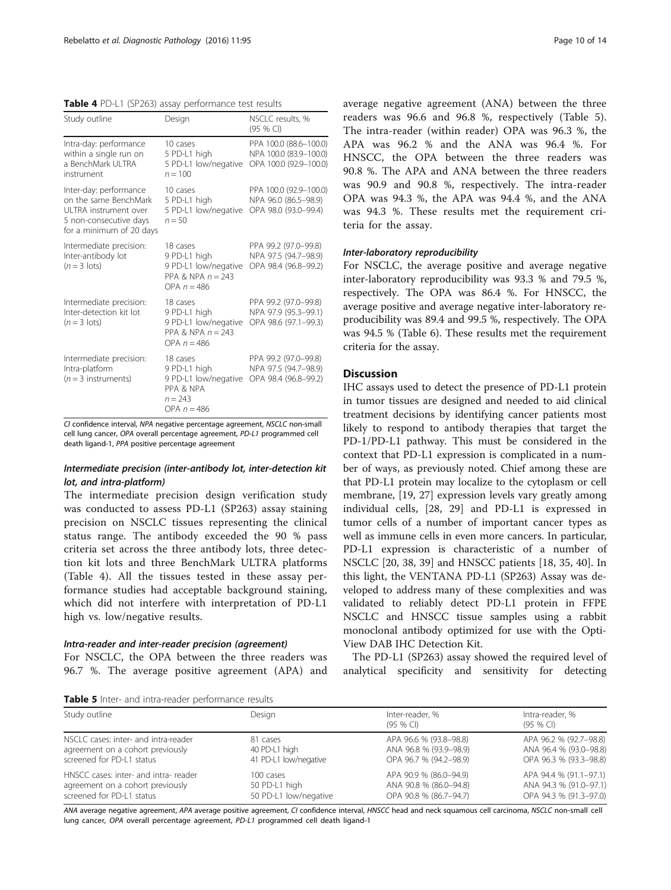<span id="page-9-0"></span>Table 4 PD-L1 (SP263) assay performance test results

| Study outline                                                                                                                  | Design                                                                                      | NSCLC results, %<br>$(95%$ CI)                                             |
|--------------------------------------------------------------------------------------------------------------------------------|---------------------------------------------------------------------------------------------|----------------------------------------------------------------------------|
| Intra-day: performance<br>within a single run on<br>a BenchMark ULTRA<br>instrument                                            | 10 cases<br>5 PD-L1 high<br>5 PD-L1 low/negative<br>$n = 100$                               | PPA 100.0 (88.6-100.0)<br>NPA 100.0 (83.9-100.0)<br>OPA 100.0 (92.9-100.0) |
| Inter-day: performance<br>on the same BenchMark<br>ULTRA instrument over<br>5 non-consecutive days<br>for a minimum of 20 days | 10 cases<br>5 PD-L1 high<br>5 PD-L1 low/negative<br>$n = 50$                                | PPA 100.0 (92.9-100.0)<br>NPA 96.0 (86.5-98.9)<br>OPA 98.0 (93.0-99.4)     |
| Intermediate precision:<br>Inter-antibody lot<br>$(n = 3$ lots)                                                                | 18 cases<br>9 PD-L1 high<br>9 PD-L1 low/negative<br>PPA & NPA $n = 243$<br>$OPA n = 486$    | PPA 99.2 (97.0-99.8)<br>NPA 97.5 (94.7-98.9)<br>OPA 98.4 (96.8-99.2)       |
| Intermediate precision:<br>Inter-detection kit lot<br>$(n=3$ lots)                                                             | 18 cases<br>9 PD-L1 high<br>9 PD-L1 low/negative<br>PPA & NPA $n = 243$<br>$OPA n = 486$    | PPA 99.2 (97.0-99.8)<br>NPA 97.9 (95.3-99.1)<br>OPA 98.6 (97.1-99.3)       |
| Intermediate precision:<br>Intra-platform<br>$(n=3$ instruments)                                                               | 18 cases<br>9 PD-L1 high<br>9 PD-L1 low/negative<br>PPA & NPA<br>$n = 243$<br>$OPA n = 486$ | PPA 99.2 (97.0-99.8)<br>NPA 97.5 (94.7-98.9)<br>OPA 98.4 (96.8-99.2)       |

CI confidence interval, NPA negative percentage agreement, NSCLC non-small cell lung cancer, OPA overall percentage agreement, PD-L1 programmed cell death ligand-1, PPA positive percentage agreement

## Intermediate precision (inter-antibody lot, inter-detection kit lot, and intra-platform)

The intermediate precision design verification study was conducted to assess PD-L1 (SP263) assay staining precision on NSCLC tissues representing the clinical status range. The antibody exceeded the 90 % pass criteria set across the three antibody lots, three detection kit lots and three BenchMark ULTRA platforms (Table 4). All the tissues tested in these assay performance studies had acceptable background staining, which did not interfere with interpretation of PD-L1 high vs. low/negative results.

## Intra-reader and inter-reader precision (agreement)

For NSCLC, the OPA between the three readers was 96.7 %. The average positive agreement (APA) and average negative agreement (ANA) between the three readers was 96.6 and 96.8 %, respectively (Table 5). The intra-reader (within reader) OPA was 96.3 %, the APA was 96.2 % and the ANA was 96.4 %. For HNSCC, the OPA between the three readers was 90.8 %. The APA and ANA between the three readers was 90.9 and 90.8 %, respectively. The intra-reader OPA was 94.3 %, the APA was 94.4 %, and the ANA was 94.3 %. These results met the requirement criteria for the assay.

## Inter-laboratory reproducibility

For NSCLC, the average positive and average negative inter-laboratory reproducibility was 93.3 % and 79.5 %, respectively. The OPA was 86.4 %. For HNSCC, the average positive and average negative inter-laboratory reproducibility was 89.4 and 99.5 %, respectively. The OPA was 94.5 % (Table [6\)](#page-10-0). These results met the requirement criteria for the assay.

## **Discussion**

IHC assays used to detect the presence of PD-L1 protein in tumor tissues are designed and needed to aid clinical treatment decisions by identifying cancer patients most likely to respond to antibody therapies that target the PD-1/PD-L1 pathway. This must be considered in the context that PD-L1 expression is complicated in a number of ways, as previously noted. Chief among these are that PD-L1 protein may localize to the cytoplasm or cell membrane, [[19, 27\]](#page-12-0) expression levels vary greatly among individual cells, [[28](#page-12-0), [29\]](#page-12-0) and PD-L1 is expressed in tumor cells of a number of important cancer types as well as immune cells in even more cancers. In particular, PD-L1 expression is characteristic of a number of NSCLC [\[20](#page-12-0), [38](#page-13-0), [39](#page-13-0)] and HNSCC patients [[18](#page-12-0), [35](#page-13-0), [40\]](#page-13-0). In this light, the VENTANA PD-L1 (SP263) Assay was developed to address many of these complexities and was validated to reliably detect PD-L1 protein in FFPE NSCLC and HNSCC tissue samples using a rabbit monoclonal antibody optimized for use with the Opti-View DAB IHC Detection Kit.

The PD-L1 (SP263) assay showed the required level of analytical specificity and sensitivity for detecting

Table 5 Inter- and intra-reader performance results

| Study outline                         | Design                | Inter-reader, %        | Intra-reader, %        |  |
|---------------------------------------|-----------------------|------------------------|------------------------|--|
|                                       |                       | $(95%$ CI)             | $(95%$ CI)             |  |
| NSCLC cases: inter- and intra-reader  | 81 cases              | APA 96.6 % (93.8-98.8) | APA 96.2 % (92.7-98.8) |  |
| agreement on a cohort previously      | 40 PD-L1 high         | ANA 96.8 % (93.9-98.9) | ANA 96.4 % (93.0-98.8) |  |
| screened for PD-L1 status             | 41 PD-L1 low/negative | OPA 96.7 % (94.2-98.9) | OPA 96.3 % (93.3-98.8) |  |
| HNSCC cases: inter- and intra- reader | 100 cases             | APA 90.9 % (86.0-94.9) | APA 94.4 % (91.1-97.1) |  |
| agreement on a cohort previously      | 50 PD-L1 high         | ANA 90.8 % (86.0-94.8) | ANA 94.3 % (91.0-97.1) |  |
| screened for PD-L1 status             | 50 PD-L1 low/negative | OPA 90.8 % (86.7-94.7) | OPA 94.3 % (91.3-97.0) |  |

ANA average negative agreement, APA average positive agreement, CI confidence interval, HNSCC head and neck squamous cell carcinoma, NSCLC non-small cell lung cancer, OPA overall percentage agreement, PD-L1 programmed cell death ligand-1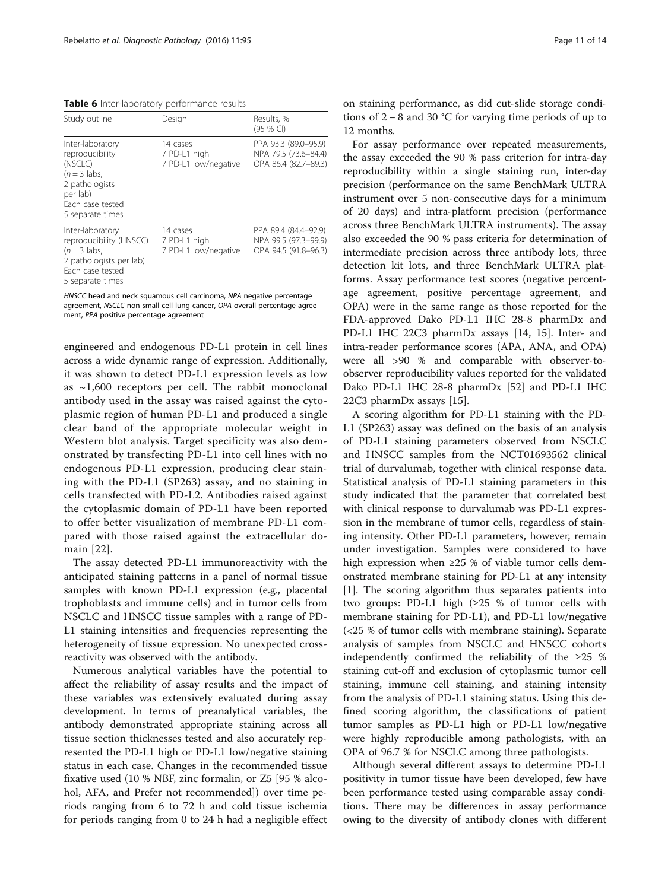<span id="page-10-0"></span>Table 6 Inter-laboratory performance results

| Study outline                                                                                                                        | Design                                           | Results, %<br>$(95%$ CI)                                             |
|--------------------------------------------------------------------------------------------------------------------------------------|--------------------------------------------------|----------------------------------------------------------------------|
| Inter-laboratory<br>reproducibility<br>(NSCLC)<br>$(n=3$ labs.<br>2 pathologists<br>per lab)<br>Fach case tested<br>5 separate times | 14 cases<br>7 PD-L1 high<br>7 PD-L1 low/negative | PPA 93.3 (89.0-95.9)<br>NPA 79.5 (73.6-84.4)<br>OPA 86.4 (82.7-89.3) |
| Inter-laboratory<br>reproducibility (HNSCC)<br>$(n=3$ labs.<br>2 pathologists per lab)<br>Fach case tested<br>5 separate times       | 14 cases<br>7 PD-L1 high<br>7 PD-L1 low/negative | PPA 89.4 (84.4-92.9)<br>NPA 99.5 (97.3-99.9)<br>OPA 94.5 (91.8-96.3) |

HNSCC head and neck squamous cell carcinoma, NPA negative percentage agreement, NSCLC non-small cell lung cancer, OPA overall percentage agreement, PPA positive percentage agreement

engineered and endogenous PD-L1 protein in cell lines across a wide dynamic range of expression. Additionally, it was shown to detect PD-L1 expression levels as low as  $\sim$ 1,600 receptors per cell. The rabbit monoclonal antibody used in the assay was raised against the cytoplasmic region of human PD-L1 and produced a single clear band of the appropriate molecular weight in Western blot analysis. Target specificity was also demonstrated by transfecting PD-L1 into cell lines with no endogenous PD-L1 expression, producing clear staining with the PD-L1 (SP263) assay, and no staining in cells transfected with PD-L2. Antibodies raised against the cytoplasmic domain of PD-L1 have been reported to offer better visualization of membrane PD-L1 compared with those raised against the extracellular domain [\[22\]](#page-12-0).

The assay detected PD-L1 immunoreactivity with the anticipated staining patterns in a panel of normal tissue samples with known PD-L1 expression (e.g., placental trophoblasts and immune cells) and in tumor cells from NSCLC and HNSCC tissue samples with a range of PD-L1 staining intensities and frequencies representing the heterogeneity of tissue expression. No unexpected crossreactivity was observed with the antibody.

Numerous analytical variables have the potential to affect the reliability of assay results and the impact of these variables was extensively evaluated during assay development. In terms of preanalytical variables, the antibody demonstrated appropriate staining across all tissue section thicknesses tested and also accurately represented the PD-L1 high or PD-L1 low/negative staining status in each case. Changes in the recommended tissue fixative used (10 % NBF, zinc formalin, or Z5 [95 % alcohol, AFA, and Prefer not recommended]) over time periods ranging from 6 to 72 h and cold tissue ischemia for periods ranging from 0 to 24 h had a negligible effect on staining performance, as did cut-slide storage conditions of 2 − 8 and 30 °C for varying time periods of up to 12 months.

For assay performance over repeated measurements, the assay exceeded the 90 % pass criterion for intra-day reproducibility within a single staining run, inter-day precision (performance on the same BenchMark ULTRA instrument over 5 non-consecutive days for a minimum of 20 days) and intra-platform precision (performance across three BenchMark ULTRA instruments). The assay also exceeded the 90 % pass criteria for determination of intermediate precision across three antibody lots, three detection kit lots, and three BenchMark ULTRA platforms. Assay performance test scores (negative percentage agreement, positive percentage agreement, and OPA) were in the same range as those reported for the FDA-approved Dako PD-L1 IHC 28-8 pharmDx and PD-L1 IHC 22C3 pharmDx assays [\[14](#page-12-0), [15\]](#page-12-0). Inter- and intra-reader performance scores (APA, ANA, and OPA) were all >90 % and comparable with observer-toobserver reproducibility values reported for the validated Dako PD-L1 IHC 28-8 pharmDx [\[52\]](#page-13-0) and PD-L1 IHC 22C3 pharmDx assays [\[15](#page-12-0)].

A scoring algorithm for PD-L1 staining with the PD-L1 (SP263) assay was defined on the basis of an analysis of PD-L1 staining parameters observed from NSCLC and HNSCC samples from the NCT01693562 clinical trial of durvalumab, together with clinical response data. Statistical analysis of PD-L1 staining parameters in this study indicated that the parameter that correlated best with clinical response to durvalumab was PD-L1 expression in the membrane of tumor cells, regardless of staining intensity. Other PD-L1 parameters, however, remain under investigation. Samples were considered to have high expression when ≥25 % of viable tumor cells demonstrated membrane staining for PD-L1 at any intensity [[1\]](#page-12-0). The scoring algorithm thus separates patients into two groups: PD-L1 high (≥25 % of tumor cells with membrane staining for PD-L1), and PD-L1 low/negative (<25 % of tumor cells with membrane staining). Separate analysis of samples from NSCLC and HNSCC cohorts independently confirmed the reliability of the ≥25 % staining cut-off and exclusion of cytoplasmic tumor cell staining, immune cell staining, and staining intensity from the analysis of PD-L1 staining status. Using this defined scoring algorithm, the classifications of patient tumor samples as PD-L1 high or PD-L1 low/negative were highly reproducible among pathologists, with an OPA of 96.7 % for NSCLC among three pathologists.

Although several different assays to determine PD-L1 positivity in tumor tissue have been developed, few have been performance tested using comparable assay conditions. There may be differences in assay performance owing to the diversity of antibody clones with different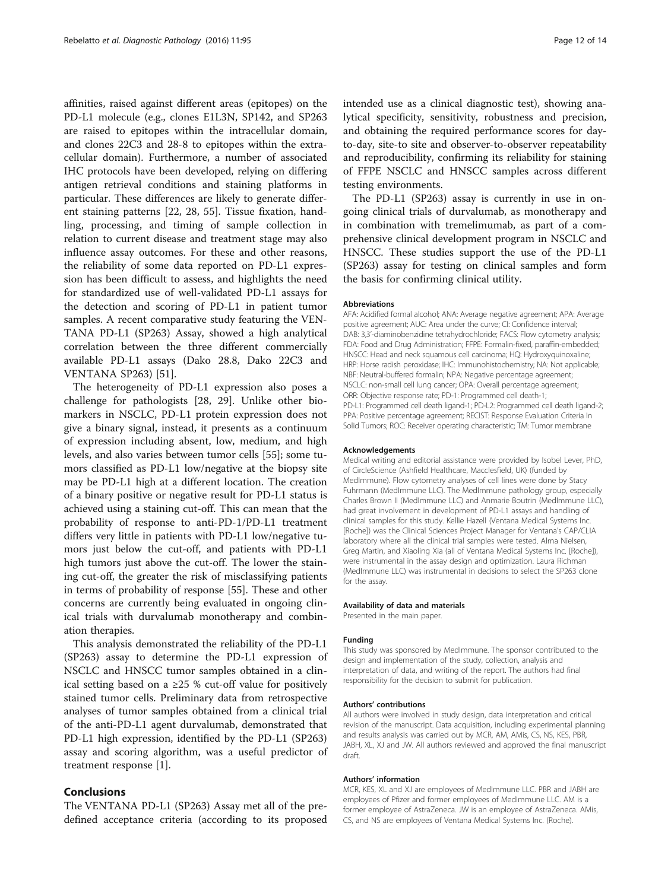affinities, raised against different areas (epitopes) on the PD-L1 molecule (e.g., clones E1L3N, SP142, and SP263 are raised to epitopes within the intracellular domain, and clones 22C3 and 28-8 to epitopes within the extracellular domain). Furthermore, a number of associated IHC protocols have been developed, relying on differing antigen retrieval conditions and staining platforms in particular. These differences are likely to generate different staining patterns [\[22](#page-12-0), [28,](#page-12-0) [55\]](#page-13-0). Tissue fixation, handling, processing, and timing of sample collection in relation to current disease and treatment stage may also influence assay outcomes. For these and other reasons, the reliability of some data reported on PD-L1 expression has been difficult to assess, and highlights the need for standardized use of well-validated PD-L1 assays for the detection and scoring of PD-L1 in patient tumor samples. A recent comparative study featuring the VEN-TANA PD-L1 (SP263) Assay, showed a high analytical correlation between the three different commercially available PD-L1 assays (Dako 28.8, Dako 22C3 and VENTANA SP263) [[51](#page-13-0)].

The heterogeneity of PD-L1 expression also poses a challenge for pathologists [[28](#page-12-0), [29](#page-12-0)]. Unlike other biomarkers in NSCLC, PD-L1 protein expression does not give a binary signal, instead, it presents as a continuum of expression including absent, low, medium, and high levels, and also varies between tumor cells [\[55\]](#page-13-0); some tumors classified as PD-L1 low/negative at the biopsy site may be PD-L1 high at a different location. The creation of a binary positive or negative result for PD-L1 status is achieved using a staining cut-off. This can mean that the probability of response to anti-PD-1/PD-L1 treatment differs very little in patients with PD-L1 low/negative tumors just below the cut-off, and patients with PD-L1 high tumors just above the cut-off. The lower the staining cut-off, the greater the risk of misclassifying patients in terms of probability of response [\[55\]](#page-13-0). These and other concerns are currently being evaluated in ongoing clinical trials with durvalumab monotherapy and combination therapies.

This analysis demonstrated the reliability of the PD-L1 (SP263) assay to determine the PD-L1 expression of NSCLC and HNSCC tumor samples obtained in a clinical setting based on a  $\geq$  25 % cut-off value for positively stained tumor cells. Preliminary data from retrospective analyses of tumor samples obtained from a clinical trial of the anti-PD-L1 agent durvalumab, demonstrated that PD-L1 high expression, identified by the PD-L1 (SP263) assay and scoring algorithm, was a useful predictor of treatment response [[1](#page-12-0)].

## Conclusions

The VENTANA PD-L1 (SP263) Assay met all of the predefined acceptance criteria (according to its proposed

intended use as a clinical diagnostic test), showing analytical specificity, sensitivity, robustness and precision, and obtaining the required performance scores for dayto-day, site-to site and observer-to-observer repeatability and reproducibility, confirming its reliability for staining of FFPE NSCLC and HNSCC samples across different testing environments.

The PD-L1 (SP263) assay is currently in use in ongoing clinical trials of durvalumab, as monotherapy and in combination with tremelimumab, as part of a comprehensive clinical development program in NSCLC and HNSCC. These studies support the use of the PD-L1 (SP263) assay for testing on clinical samples and form the basis for confirming clinical utility.

#### Abbreviations

AFA: Acidified formal alcohol; ANA: Average negative agreement; APA: Average positive agreement; AUC: Area under the curve; CI: Confidence interval; DAB: 3,3'-diaminobenzidine tetrahydrochloride; FACS: Flow cytometry analysis; FDA: Food and Drug Administration; FFPE: Formalin-fixed, paraffin-embedded; HNSCC: Head and neck squamous cell carcinoma; HQ: Hydroxyquinoxaline; HRP: Horse radish peroxidase; IHC: Immunohistochemistry; NA: Not applicable; NBF: Neutral-buffered formalin; NPA: Negative percentage agreement; NSCLC: non-small cell lung cancer; OPA: Overall percentage agreement; ORR: Objective response rate; PD-1: Programmed cell death-1; PD-L1: Programmed cell death ligand-1; PD-L2: Programmed cell death ligand-2; PPA: Positive percentage agreement; RECIST: Response Evaluation Criteria In Solid Tumors; ROC: Receiver operating characteristic; TM: Tumor membrane

#### Acknowledgements

Medical writing and editorial assistance were provided by Isobel Lever, PhD, of CircleScience (Ashfield Healthcare, Macclesfield, UK) (funded by MedImmune). Flow cytometry analyses of cell lines were done by Stacy Fuhrmann (MedImmune LLC). The MedImmune pathology group, especially Charles Brown II (MedImmune LLC) and Anmarie Boutrin (MedImmune LLC), had great involvement in development of PD-L1 assays and handling of clinical samples for this study. Kellie Hazell (Ventana Medical Systems Inc. [Roche]) was the Clinical Sciences Project Manager for Ventana's CAP/CLIA laboratory where all the clinical trial samples were tested. Alma Nielsen, Greg Martin, and Xiaoling Xia (all of Ventana Medical Systems Inc. [Roche]), were instrumental in the assay design and optimization. Laura Richman (MedImmune LLC) was instrumental in decisions to select the SP263 clone for the assay.

#### Availability of data and materials

Presented in the main paper.

#### Funding

This study was sponsored by MedImmune. The sponsor contributed to the design and implementation of the study, collection, analysis and interpretation of data, and writing of the report. The authors had final responsibility for the decision to submit for publication.

#### Authors' contributions

All authors were involved in study design, data interpretation and critical revision of the manuscript. Data acquisition, including experimental planning and results analysis was carried out by MCR, AM, AMis, CS, NS, KES, PBR, JABH, XL, XJ and JW. All authors reviewed and approved the final manuscript draft.

#### Authors' information

MCR, KES, XL and XJ are employees of MedImmune LLC. PBR and JABH are employees of Pfizer and former employees of MedImmune LLC. AM is a former employee of AstraZeneca. JW is an employee of AstraZeneca. AMis, CS, and NS are employees of Ventana Medical Systems Inc. (Roche).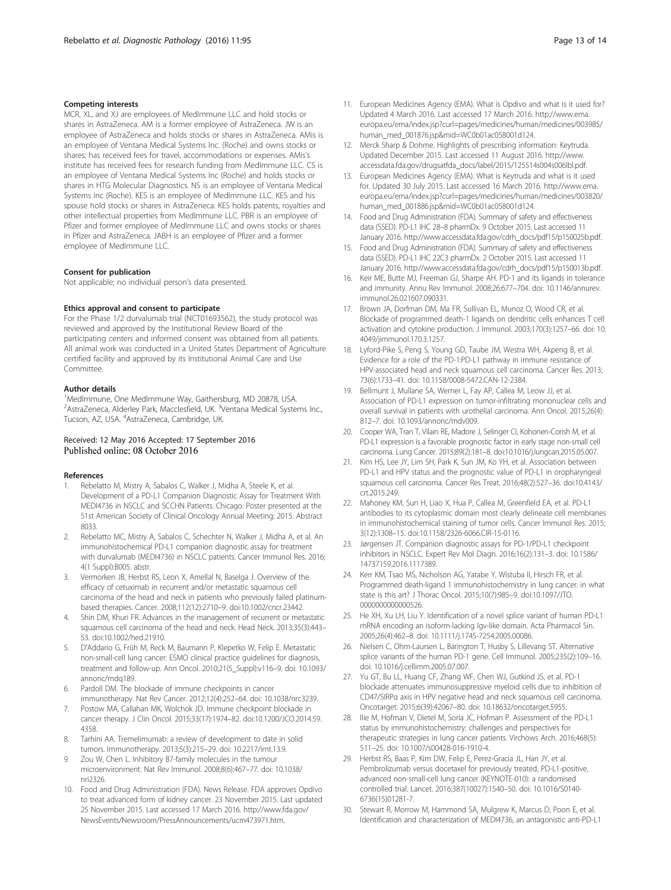#### <span id="page-12-0"></span>Competing interests

MCR, XL, and XJ are employees of MedImmune LLC and hold stocks or shares in AstraZeneca. AM is a former employee of AstraZeneca. JW is an employee of AstraZeneca and holds stocks or shares in AstraZeneca. AMis is an employee of Ventana Medical Systems Inc. (Roche) and owns stocks or shares; has received fees for travel, accommodations or expenses. AMis's institute has received fees for research funding from MedImmune LLC. CS is an employee of Ventana Medical Systems Inc (Roche) and holds stocks or shares in HTG Molecular Diagnostics. NS is an employee of Ventana Medical Systems Inc (Roche). KES is an employee of MedImmune LLC. KES and his spouse hold stocks or shares in AstraZeneca. KES holds patents, royalties and other intellectual properties from MedImmune LLC. PBR is an employee of Pfizer and former employee of MedImmune LLC and owns stocks or shares in Pfizer and AstraZeneca. JABH is an employee of Pfizer and a former employee of MedImmune LLC.

#### Consent for publication

Not applicable; no individual person's data presented.

#### Ethics approval and consent to participate

For the Phase 1/2 durvalumab trial (NCT01693562), the study protocol was reviewed and approved by the Institutional Review Board of the participating centers and informed consent was obtained from all patients. All animal work was conducted in a United States Department of Agriculture certified facility and approved by its Institutional Animal Care and Use Committee.

#### Author details

<sup>1</sup>MedImmune, One MedImmune Way, Gaithersburg, MD 20878, USA. <sup>2</sup> AstraZeneca, Alderley Park, Macclesfield, UK. <sup>3</sup> Ventana Medical Systems Inc., Tucson, AZ, USA. <sup>4</sup>AstraZeneca, Cambridge, UK.

#### Received: 12 May 2016 Accepted: 17 September 2016 Published online: 08 October 2016

#### References

- Rebelatto M, Mistry A, Sabalos C, Walker J, Midha A, Steele K, et al. Development of a PD-L1 Companion Diagnostic Assay for Treatment With MEDI4736 in NSCLC and SCCHN Patients. Chicago: Poster presented at the 51st American Society of Clinical Oncology Annual Meeting; 2015. Abstract 8033.
- 2. Rebelatto MC, Mistry A, Sabalos C, Schechter N, Walker J, Midha A, et al. An immunohistochemical PD-L1 companion diagnostic assay for treatment with durvalumab (MEDI4736) in NSCLC patients. Cancer Immunol Res. 2016; 4(1 Suppl):B005. abstr.
- 3. Vermorken JB, Herbst RS, Leon X, Amellal N, Baselga J. Overview of the efficacy of cetuximab in recurrent and/or metastatic squamous cell carcinoma of the head and neck in patients who previously failed platinumbased therapies. Cancer. 2008;112(12):2710–9. doi[:10.1002/cncr.23442](http://dx.doi.org/10.1002/cncr.23442).
- 4. Shin DM, Khuri FR. Advances in the management of recurrent or metastatic squamous cell carcinoma of the head and neck. Head Neck. 2013;35(3):443– 53. doi[:10.1002/hed.21910.](http://dx.doi.org/10.1002/hed.21910)
- 5. D'Addario G, Früh M, Reck M, Baumann P, Klepetko W, Felip E. Metastatic non-small-cell lung cancer: ESMO clinical practice guidelines for diagnosis, treatment and follow-up. Ann Oncol. 2010;21(5\_Suppl):v116–9. doi[: 10.1093/](http://dx.doi.org/10.1093/annonc/mdq189) annonc/mdg189.
- 6. Pardoll DM. The blockade of immune checkpoints in cancer immunotherapy. Nat Rev Cancer. 2012;12(4):252–64. doi[: 10.1038/nrc3239](http://dx.doi.org/10.1038/nrc3239).
- 7. Postow MA, Callahan MK, Wolchok JD. Immune checkpoint blockade in cancer therapy. J Clin Oncol. 2015;33(17):1974–82. doi[:10.1200/JCO.2014.59.](http://dx.doi.org/10.1200/JCO.2014.59.4358) [4358](http://dx.doi.org/10.1200/JCO.2014.59.4358).
- 8. Tarhini AA. Tremelimumab: a review of development to date in solid tumors. Immunotherapy. 2013;5(3):215–29. doi[: 10.2217/imt.13.9](http://dx.doi.org/10.2217/imt.13.9).
- 9. Zou W, Chen L. Inhibitory B7-family molecules in the tumour microenvironment. Nat Rev Immunol. 2008;8(6):467–77. doi[: 10.1038/](http://dx.doi.org/10.1038/nri2326) [nri2326.](http://dx.doi.org/10.1038/nri2326)
- 10. Food and Drug Administration (FDA). News Release. FDA approves Opdivo to treat advanced form of kidney cancer. 23 November 2015. Last updated 25 November 2015. Last accessed 17 March 2016. [http://www.fda.gov/](http://www.fda.gov/NewsEvents/Newsroom/PressAnnouncements/ucm473971.htm) [NewsEvents/Newsroom/PressAnnouncements/ucm473971.htm.](http://www.fda.gov/NewsEvents/Newsroom/PressAnnouncements/ucm473971.htm)
- [europa.eu/ema/index.jsp?curl=pages/medicines/human/medicines/003985/](http://www.ema.europa.eu/ema/index.jsp?curl=pages/medicines/human/medicines/003985/human_med_001876.jsp&mid=WC0b01ac058001d124) [human\\_med\\_001876.jsp&mid=WC0b01ac058001d124.](http://www.ema.europa.eu/ema/index.jsp?curl=pages/medicines/human/medicines/003985/human_med_001876.jsp&mid=WC0b01ac058001d124) 12. Merck Sharp & Dohme. Highlights of prescribing information: Keytruda.
- Updated December 2015. Last accessed 11 August 2016. [http://www.](http://www.accessdata.fda.gov/drugsatfda_docs/label/2015/125514s004s006lbl.pdf) [accessdata.fda.gov/drugsatfda\\_docs/label/2015/125514s004s006lbl.pdf](http://www.accessdata.fda.gov/drugsatfda_docs/label/2015/125514s004s006lbl.pdf).
- 13. European Medicines Agency (EMA). What is Keytruda and what is it used for. Updated 30 July 2015. Last accessed 16 March 2016. [http://www.ema.](http://www.ema.europa.eu/ema/index.jsp?curl=pages/medicines/human/medicines/003820/human_med_001886.jsp&mid=WC0b01ac058001d124) [europa.eu/ema/index.jsp?curl=pages/medicines/human/medicines/003820/](http://www.ema.europa.eu/ema/index.jsp?curl=pages/medicines/human/medicines/003820/human_med_001886.jsp&mid=WC0b01ac058001d124) [human\\_med\\_001886.jsp&mid=WC0b01ac058001d124.](http://www.ema.europa.eu/ema/index.jsp?curl=pages/medicines/human/medicines/003820/human_med_001886.jsp&mid=WC0b01ac058001d124)
- 14. Food and Drug Administration (FDA). Summary of safety and effectiveness data (SSED). PD-L1 IHC 28–8 pharmDx. 9 October 2015. Last accessed 11 January 2016. [http://www.accessdata.fda.gov/cdrh\\_docs/pdf15/p150025b.pdf](http://www.accessdata.fda.gov/cdrh_docs/pdf15/p150025b.pdf).
- 15. Food and Drug Administration (FDA). Summary of safety and effectiveness data (SSED). PD-L1 IHC 22C3 pharmDx. 2 October 2015. Last accessed 11 January 2016. [http://www.accessdata.fda.gov/cdrh\\_docs/pdf15/p150013b.pdf](http://www.accessdata.fda.gov/cdrh_docs/pdf15/p150013b.pdf).
- 16. Keir ME, Butte MJ, Freeman GJ, Sharpe AH. PD-1 and its ligands in tolerance and immunity. Annu Rev Immunol. 2008;26:677–704. doi: [10.1146/annurev.](http://dx.doi.org/10.1146/annurev.immunol.26.021607.090331) [immunol.26.021607.090331.](http://dx.doi.org/10.1146/annurev.immunol.26.021607.090331)
- 17. Brown JA, Dorfman DM, Ma FR, Sullivan EL, Munoz O, Wood CR, et al. Blockade of programmed death-1 ligands on dendritic cells enhances T cell activation and cytokine production. J Immunol. 2003;170(3):1257–66. doi[: 10.](http://dx.doi.org/10.4049/jimmunol.170.3.1257) [4049/jimmunol.170.3.1257.](http://dx.doi.org/10.4049/jimmunol.170.3.1257)
- 18. Lyford-Pike S, Peng S, Young GD, Taube JM, Westra WH, Akpeng B, et al. Evidence for a role of the PD-1:PD-L1 pathway in immune resistance of HPV-associated head and neck squamous cell carcinoma. Cancer Res. 2013; 73(6):1733–41. doi: [10.1158/0008-5472.CAN-12-2384.](http://dx.doi.org/10.1158/0008-5472.CAN-12-2384)
- 19. Bellmunt J, Mullane SA, Werner L, Fay AP, Callea M, Leow JJ, et al. Association of PD-L1 expression on tumor-infiltrating mononuclear cells and overall survival in patients with urothelial carcinoma. Ann Oncol. 2015;26(4): 812–7. doi: [10.1093/annonc/mdv009.](http://dx.doi.org/10.1093/annonc/mdv009)
- 20. Cooper WA, Tran T, Vilain RE, Madore J, Selinger CI, Kohonen-Corish M, et al. PD-L1 expression is a favorable prognostic factor in early stage non-small cell carcinoma. Lung Cancer. 2015;89(2):181–8. doi[:10.1016/j.lungcan.2015.05.007.](http://dx.doi.org/10.1016/j.lungcan.2015.05.007)
- 21. Kim HS, Lee JY, Lim SH, Park K, Sun JM, Ko YH, et al. Association between PD-L1 and HPV status and the prognostic value of PD-L1 in oropharyngeal squamous cell carcinoma. Cancer Res Treat. 2016;48(2):527–36. doi:[10.4143/](http://dx.doi.org/10.4143/crt.2015.249) [crt.2015.249](http://dx.doi.org/10.4143/crt.2015.249).
- 22. Mahoney KM, Sun H, Liao X, Hua P, Callea M, Greenfield EA, et al. PD-L1 antibodies to its cytoplasmic domain most clearly delineate cell membranes in immunohistochemical staining of tumor cells. Cancer Immunol Res. 2015; 3(12):1308–15. doi:[10.1158/2326-6066.CIR-15-0116.](http://dx.doi.org/10.1158/2326-6066.CIR-15-0116)
- 23. Jørgensen JT. Companion diagnostic assays for PD-1/PD-L1 checkpoint inhibitors in NSCLC. Expert Rev Mol Diagn. 2016;16(2):131–3. doi[: 10.1586/](http://dx.doi.org/10.1586/14737159.2016.1117389) [14737159.2016.1117389.](http://dx.doi.org/10.1586/14737159.2016.1117389)
- 24. Kerr KM, Tsao MS, Nicholson AG, Yatabe Y, Wistuba II, Hirsch FR, et al. Programmed death-ligand 1 immunohistochemistry in lung cancer: in what state is this art? J Thorac Oncol. 2015;10(7):985–9. doi:[10.1097/JTO.](http://dx.doi.org/10.1097/JTO.0000000000000526) [0000000000000526](http://dx.doi.org/10.1097/JTO.0000000000000526).
- 25. He XH, Xu LH, Liu Y. Identification of a novel splice variant of human PD-L1 mRNA encoding an isoform-lacking Igv-like domain. Acta Pharmacol Sin. 2005;26(4):462–8. doi: [10.1111/j.1745-7254.2005.00086.](http://dx.doi.org/10.1111/j.1745-7254.2005.00086)
- 26. Nielsen C, Ohm-Laursen L, Barington T, Husby S, Lillevang ST. Alternative splice variants of the human PD-1 gene. Cell Immunol. 2005;235(2):109–16. doi[: 10.1016/j.cellimm.2005.07.007.](http://dx.doi.org/10.1016/j.cellimm.2005.07.007)
- 27. Yu GT, Bu LL, Huang CF, Zhang WF, Chen WJ, Gutkind JS, et al. PD-1 blockade attenuates immunosuppressive myeloid cells due to inhibition of CD47/SIRPα axis in HPV negative head and neck squamous cell carcinoma. Oncotarget. 2015;6(39):42067–80. doi[: 10.18632/oncotarget.5955](http://dx.doi.org/10.18632/oncotarget.5955).
- 28. Ilie M, Hofman V, Dietel M, Soria JC, Hofman P. Assessment of the PD-L1 status by immunohistochemistry: challenges and perspectives for therapeutic strategies in lung cancer patients. Virchows Arch. 2016;468(5): 511–25. doi: [10.1007/s00428-016-1910-4](http://dx.doi.org/10.1007/s00428-016-1910-4).
- 29. Herbst RS, Baas P, Kim DW, Felip E, Perez-Gracia JL, Han JY, et al. Pembrolizumab versus docetaxel for previously treated, PD-L1-positive, advanced non-small-cell lung cancer (KEYNOTE-010): a randomised controlled trial. Lancet. 2016;387(10027):1540–50. doi[: 10.1016/S0140-](http://dx.doi.org/10.1016/S0140-6736(15)01281-7) [6736\(15\)01281-7](http://dx.doi.org/10.1016/S0140-6736(15)01281-7).
- 30. Stewart R, Morrow M, Hammond SA, Mulgrew K, Marcus D, Poon E, et al. Identification and characterization of MEDI4736, an antagonistic anti-PD-L1